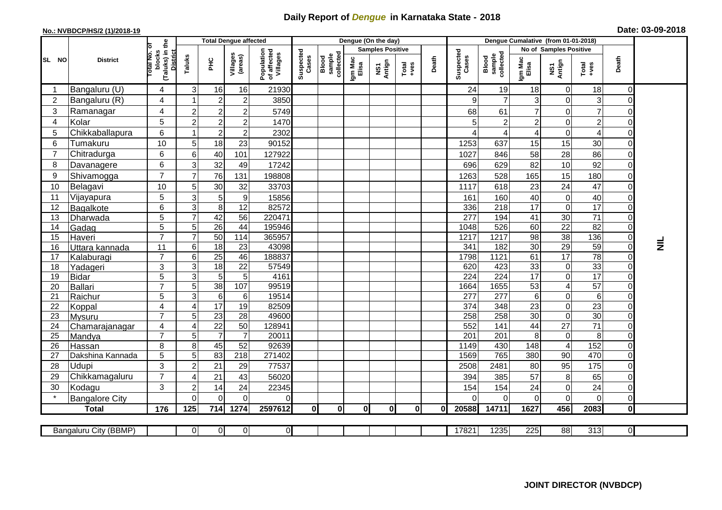## **Daily Report of** *Dengue* **in Karnataka State - 2018**

## **No.: NVBDCP/HS/2 (1)/2018-19 Date: 03-09-2018**

|                |                         |                                                       |                   | <b>Total Dengue affected</b> |                     |                                       |                    |                              |                  | Dengue (On the day)     |          |       |                    |                              |                      | Dengue Cumalative (from 01-01-2018) |                 |                            |                 |
|----------------|-------------------------|-------------------------------------------------------|-------------------|------------------------------|---------------------|---------------------------------------|--------------------|------------------------------|------------------|-------------------------|----------|-------|--------------------|------------------------------|----------------------|-------------------------------------|-----------------|----------------------------|-----------------|
|                |                         |                                                       |                   |                              |                     |                                       |                    |                              |                  | <b>Samples Positive</b> |          |       |                    |                              |                      | No of Samples Positive              |                 |                            |                 |
| SL NO          | <b>District</b>         | (Taluks) in the<br>District<br>lotal No. of<br>blocks | Taluks            | PНC                          | Villages<br>(areas) | Population<br>of affected<br>Villages | Suspected<br>Cases | Blood<br>sample<br>collected | Igm Mac<br>Elisa | NS1<br>Antign           | $Totael$ | Death | Suspected<br>Cases | Blood<br>sample<br>collected | Igm Mac<br>Elisa     | NS1<br>Antign                       | Total<br>+ves   | Death                      |                 |
|                | Bangaluru (U)           | 4                                                     | 3                 | 16                           | 16                  | 21930                                 |                    |                              |                  |                         |          |       | 24                 | 19                           | 18                   | $\mathbf 0$                         | 18              | $\Omega$                   |                 |
| $\overline{2}$ | Bangaluru (R)           | 4                                                     |                   | $\boldsymbol{2}$             | $\overline{c}$      | 3850                                  |                    |                              |                  |                         |          |       | 9                  | $\overline{7}$               | 3                    | $\boldsymbol{0}$                    | 3               | 0                          |                 |
| 3              | Ramanagar               | $\overline{4}$                                        | $\overline{c}$    | $\overline{2}$               | $\overline{c}$      | 5749                                  |                    |                              |                  |                         |          |       | 68                 | 61                           | $\overline{7}$       | $\mathbf 0$                         | $\overline{7}$  | $\Omega$                   |                 |
| $\overline{4}$ | Kolar                   | 5                                                     | $\overline{2}$    | $\boldsymbol{2}$             | $\overline{c}$      | 1470                                  |                    |                              |                  |                         |          |       |                    | 2                            | $\overline{c}$       | $\mathbf 0$                         | $\overline{2}$  | $\Omega$                   |                 |
| 5              | Chikkaballapura         | 6                                                     | 1                 | $\boldsymbol{2}$             | $\mathbf 2$         | 2302                                  |                    |                              |                  |                         |          |       |                    | $\vert$                      | 4                    | $\boldsymbol{0}$                    | 4               | $\Omega$                   |                 |
| 6              | Tumakuru                | 10                                                    | 5                 | 18                           | 23                  | 90152                                 |                    |                              |                  |                         |          |       | 1253               | 637                          | 15                   | 15                                  | 30              | $\Omega$                   |                 |
| 7              | Chitradurga             | 6                                                     | $\,6$             | 40                           | 101                 | 127922                                |                    |                              |                  |                         |          |       | 1027               | 846                          | 58                   | 28                                  | 86              | $\mathbf 0$                |                 |
| 8              | Davanagere              | 6                                                     | 3                 | 32                           | 49                  | 17242                                 |                    |                              |                  |                         |          |       | 696                | 629                          | 82                   | 10                                  | 92              | $\overline{0}$             |                 |
| 9              | Shivamogga              | $\overline{7}$                                        | $\overline{7}$    | 76                           | 131                 | 198808                                |                    |                              |                  |                         |          |       | 1263               | 528                          | 165                  | 15                                  | 180             | $\Omega$                   |                 |
| 10             | Belagavi                | 10                                                    | 5                 | 30                           | 32                  | 33703                                 |                    |                              |                  |                         |          |       | 1117               | 618                          | 23                   | 24                                  | 47              | $\mathbf 0$                |                 |
| 11             | Vijayapura              | 5                                                     | 3                 | 5                            | $\boldsymbol{9}$    | 15856                                 |                    |                              |                  |                         |          |       | 161                | 160                          | 40                   | $\mathbf 0$                         | 40              | $\mathbf 0$                |                 |
| 12             | Bagalkote               | 6                                                     | 3                 | 8                            | 12                  | 82572                                 |                    |                              |                  |                         |          |       | 336                | 218                          | 17                   | $\mathbf 0$                         | 17              | $\Omega$                   |                 |
| 13             | Dharwada                | 5                                                     | $\overline{7}$    | 42                           | $\overline{56}$     | 220471                                |                    |                              |                  |                         |          |       | $\overline{277}$   | 194                          | 41                   | 30                                  | 71              | $\Omega$                   |                 |
| 14             | Gadag                   | $\overline{5}$                                        | 5                 | $\overline{26}$              | $\overline{44}$     | 195946                                |                    |                              |                  |                         |          |       | 1048               | 526                          | 60                   | 22                                  | 82              | $\Omega$                   |                 |
| 15             | Haveri                  | $\overline{7}$                                        | $\overline{7}$    | 50                           | 114                 | 365957                                |                    |                              |                  |                         |          |       | 1217               | 1217                         | $\overline{98}$      | 38                                  | 136             | $\overline{0}$             |                 |
| 16             | Uttara kannada          | 11                                                    | $\,6$             | $\overline{18}$              | 23                  | 43098                                 |                    |                              |                  |                         |          |       | 341                | 182                          | 30                   | 29                                  | 59              | $\overline{0}$             | $\bar{\bar{z}}$ |
| 17             | Kalaburagi              | $\overline{7}$                                        | $6\phantom{1}6$   | $\overline{25}$              | 46                  | 188837                                |                    |                              |                  |                         |          |       | 1798               | 1121                         | 61                   | 17                                  | 78              | 0                          |                 |
| 18             | Yadageri                | 3                                                     | 3                 | 18                           | 22                  | 57549                                 |                    |                              |                  |                         |          |       | 620                | 423                          | 33                   | $\boldsymbol{0}$                    | 33              | $\mathbf 0$                |                 |
| 19             | <b>Bidar</b>            | 5                                                     | $\overline{3}$    | $\overline{5}$               | $\overline{5}$      | 4161                                  |                    |                              |                  |                         |          |       | $\overline{224}$   | $\overline{224}$             | 17                   | $\overline{0}$                      | $\overline{17}$ | $\Omega$                   |                 |
| 20             | Ballari                 | $\overline{7}$                                        | $\sqrt{5}$        | 38                           | 107                 | 99519                                 |                    |                              |                  |                         |          |       | 1664               | 1655                         | 53                   | $\overline{\mathbf{4}}$             | 57              | $\mathbf 0$                |                 |
| 21<br>22       | Raichur                 | 5<br>$\overline{\mathbf{4}}$                          | $\mathbf{3}$<br>4 | $6\phantom{1}6$<br>17        | 6<br>19             | 19514<br>82509                        |                    |                              |                  |                         |          |       | 277<br>374         | $\overline{277}$<br>348      | 6<br>$\overline{23}$ | $\boldsymbol{0}$<br>$\mathbf 0$     | $\,6$<br>23     | $\mathbf 0$<br>$\mathbf 0$ |                 |
| 23             | Koppal<br><b>Mysuru</b> | $\overline{7}$                                        | 5                 | $\overline{23}$              | 28                  | 49600                                 |                    |                              |                  |                         |          |       | 258                | 258                          | 30                   | $\mathbf 0$                         | 30              | $\Omega$                   |                 |
| 24             | Chamarajanagar          | 4                                                     | $\overline{4}$    | $\overline{22}$              | 50                  | 128941                                |                    |                              |                  |                         |          |       | 552                | 141                          | 44                   | $\overline{27}$                     | 71              | $\mathbf 0$                |                 |
| 25             | Mandya                  | $\overline{7}$                                        | 5                 | $\overline{7}$               | $\overline{7}$      | 20011                                 |                    |                              |                  |                         |          |       | 201                | 201                          | 8                    | $\pmb{0}$                           | 8               | $\Omega$                   |                 |
| 26             | Hassan                  | 8                                                     | 8                 | 45                           | 52                  | 92639                                 |                    |                              |                  |                         |          |       | 1149               | 430                          | 148                  | $\overline{4}$                      | 152             | $\mathbf 0$                |                 |
| 27             | Dakshina Kannada        | 5                                                     | 5                 | 83                           | $\overline{218}$    | 271402                                |                    |                              |                  |                         |          |       | 1569               | 765                          | 380                  | 90                                  | 470             | $\overline{0}$             |                 |
| 28             | Udupi                   | 3                                                     | $\overline{2}$    | 21                           | 29                  | 77537                                 |                    |                              |                  |                         |          |       | 2508               | 2481                         | 80                   | 95                                  | 175             | $\Omega$                   |                 |
| 29             | Chikkamagaluru          | $\overline{7}$                                        | 4                 | 21                           | 43                  | 56020                                 |                    |                              |                  |                         |          |       | 394                | 385                          | 57                   | 8                                   | 65              | $\Omega$                   |                 |
| 30             | Kodagu                  | 3                                                     | $\overline{2}$    | 14                           | 24                  | 22345                                 |                    |                              |                  |                         |          |       | 154                | 154                          | 24                   | $\pmb{0}$                           | 24              | $\overline{0}$             |                 |
|                | <b>Bangalore City</b>   |                                                       | $\Omega$          | $\mathbf{0}$                 | $\Omega$            | 0                                     |                    |                              |                  |                         |          |       |                    | $\Omega$                     | 0                    | $\mathbf 0$                         | $\mathbf 0$     | $\overline{0}$             |                 |
|                | <b>Total</b>            | 176                                                   | 125               | 714                          | 1274                | 2597612                               | 0                  | $\mathbf{0}$                 | 0I               | $\mathbf{0}$            | 0I       | 0l    | 20588              | 14711                        | 1627                 | 456                                 | 2083            | Οl                         |                 |
|                |                         |                                                       |                   |                              |                     |                                       |                    |                              |                  |                         |          |       |                    |                              |                      |                                     |                 |                            |                 |
|                | Bangaluru City (BBMP)   |                                                       | $\overline{0}$    | $\overline{0}$               | $\overline{0}$      | 0                                     |                    |                              |                  |                         |          |       | 17821              | 1235                         | 225                  | 88                                  | 313             | $\overline{\mathsf{d}}$    |                 |